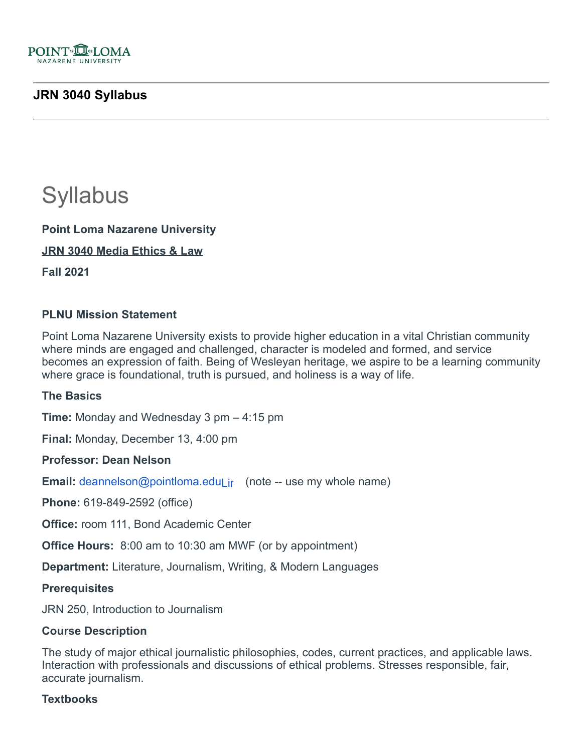

# **JRN 3040 Syllabus**

# **Syllabus**

**Point Loma Nazarene University**

**JRN 3040 Media Ethics & Law**

**Fall 2021**

## **PLNU Mission Statement**

Point Loma Nazarene University exists to provide higher education in a vital Christian community where minds are engaged and challenged, character is modeled and formed, and service becomes an expression of faith. Being of Wesleyan heritage, we aspire to be a learning community where grace is foundational, truth is pursued, and holiness is a way of life.

#### **The Basics**

**Time:** Monday and Wednesday 3 pm – 4:15 pm

**Final:** Monday, December 13, 4:00 pm

## **Professor: Dean Nelson**

**Email:** deannelson@pointloma.eduLir (note -- use my whole name)

**Phone:** 619-849-2592 (office)

**Office:** room 111, Bond Academic Center

**Office Hours:** 8:00 am to 10:30 am MWF (or by appointment)

**Department:** Literature, Journalism, Writing, & Modern Languages

#### **Prerequisites**

JRN 250, Introduction to Journalism

#### **Course Description**

The study of major ethical journalistic philosophies, codes, current practices, and applicable laws. Interaction with professionals and discussions of ethical problems. Stresses responsible, fair, accurate journalism.

#### **Textbooks**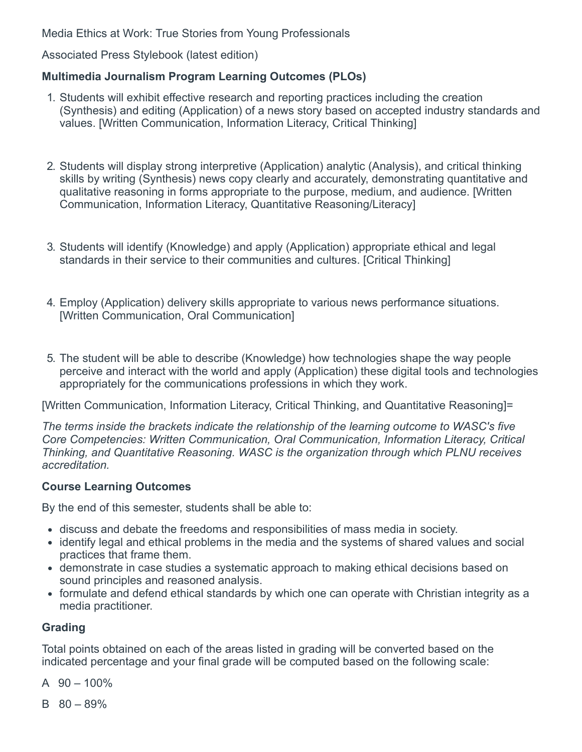Media Ethics at Work: True Stories from Young Professionals

Associated Press Stylebook (latest edition)

# **Multimedia Journalism Program Learning Outcomes (PLOs)**

- 1. Students will exhibit effective research and reporting practices including the creation (Synthesis) and editing (Application) of a news story based on accepted industry standards and values. [Written Communication, Information Literacy, Critical Thinking]
- 2. Students will display strong interpretive (Application) analytic (Analysis), and critical thinking skills by writing (Synthesis) news copy clearly and accurately, demonstrating quantitative and qualitative reasoning in forms appropriate to the purpose, medium, and audience. [Written Communication, Information Literacy, Quantitative Reasoning/Literacy]
- 3. Students will identify (Knowledge) and apply (Application) appropriate ethical and legal standards in their service to their communities and cultures. [Critical Thinking]
- 4. Employ (Application) delivery skills appropriate to various news performance situations. [Written Communication, Oral Communication]
- 5. The student will be able to describe (Knowledge) how technologies shape the way people perceive and interact with the world and apply (Application) these digital tools and technologies appropriately for the communications professions in which they work.

[Written Communication, Information Literacy, Critical Thinking, and Quantitative Reasoning]=

*The terms inside the brackets indicate the relationship of the learning outcome to WASC's five Core Competencies: Written Communication, Oral Communication, Information Literacy, Critical Thinking, and Quantitative Reasoning. WASC is the organization through which PLNU receives accreditation.*

# **Course Learning Outcomes**

By the end of this semester, students shall be able to:

- discuss and debate the freedoms and responsibilities of mass media in society.
- identify legal and ethical problems in the media and the systems of shared values and social practices that frame them.
- demonstrate in case studies a systematic approach to making ethical decisions based on sound principles and reasoned analysis.
- formulate and defend ethical standards by which one can operate with Christian integrity as a media practitioner.

# **Grading**

Total points obtained on each of the areas listed in grading will be converted based on the indicated percentage and your final grade will be computed based on the following scale:

- A  $90 100\%$
- $B$  80 89%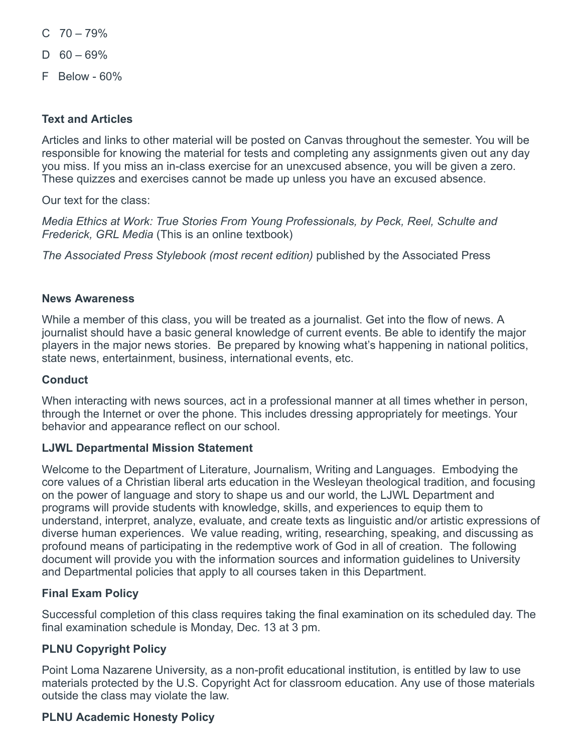- $C$  70 79%
- $D$  60 69%
- F Below 60%

# **Text and Articles**

Articles and links to other material will be posted on Canvas throughout the semester. You will be responsible for knowing the material for tests and completing any assignments given out any day you miss. If you miss an in-class exercise for an unexcused absence, you will be given a zero. These quizzes and exercises cannot be made up unless you have an excused absence.

Our text for the class:

*Media Ethics at Work: True Stories From Young Professionals, by Peck, Reel, Schulte and Frederick, GRL Media* (This is an online textbook)

*The Associated Press Stylebook (most recent edition)* published by the Associated Press

## **News Awareness**

While a member of this class, you will be treated as a journalist. Get into the flow of news. A journalist should have a basic general knowledge of current events. Be able to identify the major players in the major news stories. Be prepared by knowing what's happening in national politics, state news, entertainment, business, international events, etc.

#### **Conduct**

When interacting with news sources, act in a professional manner at all times whether in person, through the Internet or over the phone. This includes dressing appropriately for meetings. Your behavior and appearance reflect on our school.

#### **LJWL Departmental Mission Statement**

Welcome to the Department of Literature, Journalism, Writing and Languages. Embodying the core values of a Christian liberal arts education in the Wesleyan theological tradition, and focusing on the power of language and story to shape us and our world, the LJWL Department and programs will provide students with knowledge, skills, and experiences to equip them to understand, interpret, analyze, evaluate, and create texts as linguistic and/or artistic expressions of diverse human experiences. We value reading, writing, researching, speaking, and discussing as profound means of participating in the redemptive work of God in all of creation. The following document will provide you with the information sources and information guidelines to University and Departmental policies that apply to all courses taken in this Department.

## **Final Exam Policy**

Successful completion of this class requires taking the final examination on its scheduled day. The final examination schedule is Monday, Dec. 13 at 3 pm.

## **PLNU Copyright Policy**

Point Loma Nazarene University, as a non-profit educational institution, is entitled by law to use materials protected by the U.S. Copyright Act for classroom education. Any use of those materials outside the class may violate the law.

## **PLNU Academic Honesty Policy**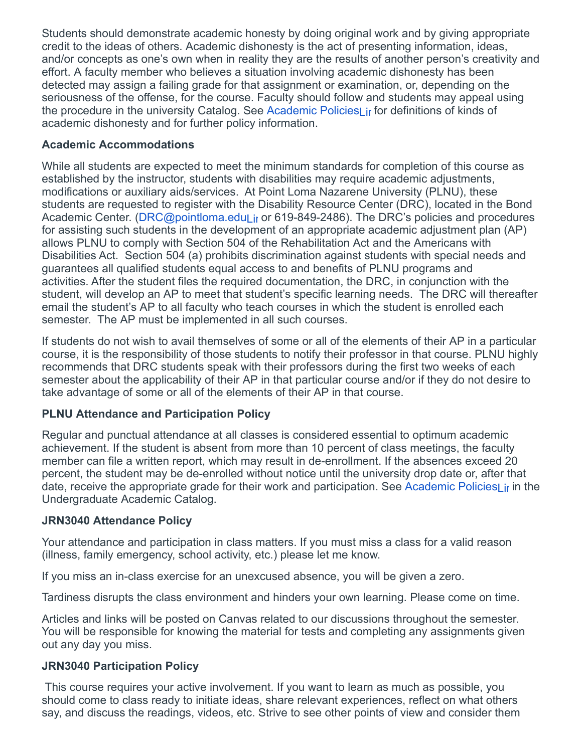Students should demonstrate academic honesty by doing original work and by giving appropriate credit to the ideas of others. Academic dishonesty is the act of presenting information, ideas, and/or concepts as one's own when in reality they are the results of another person's creativity and effort. A faculty member who believes a situation involving academic dishonesty has been detected may assign a failing grade for that assignment or examination, or, depending on the seriousness of the offense, for the course. Faculty should follow and students may appeal using the procedure in the university Catalog. See Academic PoliciesLir for definitions of kinds of academic dishonesty and for further policy information.

# **Academic Accommodations**

While all students are expected to meet the minimum standards for completion of this course as established by the instructor, students with disabilities may require academic adjustments, modifications or auxiliary aids/services. At Point Loma Nazarene University (PLNU), these students are requested to register with the Disability Resource Center (DRC), located in the Bond Academic Center. (DRC@pointloma.eduLir or 619-849-2486). The DRC's policies and procedures for assisting such students in the development of an appropriate academic adjustment plan (AP) allows PLNU to comply with Section 504 of the Rehabilitation Act and the Americans with Disabilities Act. Section 504 (a) prohibits discrimination against students with special needs and guarantees all qualified students equal access to and benefits of PLNU programs and activities. After the student files the required documentation, the DRC, in conjunction with the student, will develop an AP to meet that student's specific learning needs. The DRC will thereafter email the student's AP to all faculty who teach courses in which the student is enrolled each semester. The AP must be implemented in all such courses.

If students do not wish to avail themselves of some or all of the elements of their AP in a particular course, it is the responsibility of those students to notify their professor in that course. PLNU highly recommends that DRC students speak with their professors during the first two weeks of each semester about the applicability of their AP in that particular course and/or if they do not desire to take advantage of some or all of the elements of their AP in that course.

# **PLNU Attendance and Participation Policy**

Regular and punctual attendance at all classes is considered essential to optimum academic achievement. If the student is absent from more than 10 percent of class meetings, the faculty member can file a written report, which may result in de-enrollment. If the absences exceed 20 percent, the student may be de-enrolled without notice until the university drop date or, after that date, receive the appropriate grade for their work and participation. See Academic PoliciesLir in the Undergraduate Academic Catalog.

# **JRN3040 Attendance Policy**

Your attendance and participation in class matters. If you must miss a class for a valid reason (illness, family emergency, school activity, etc.) please let me know.

If you miss an in-class exercise for an unexcused absence, you will be given a zero.

Tardiness disrupts the class environment and hinders your own learning. Please come on time.

Articles and links will be posted on Canvas related to our discussions throughout the semester. You will be responsible for knowing the material for tests and completing any assignments given out any day you miss.

# **JRN3040 Participation Policy**

This course requires your active involvement. If you want to learn as much as possible, you should come to class ready to initiate ideas, share relevant experiences, reflect on what others say, and discuss the readings, videos, etc. Strive to see other points of view and consider them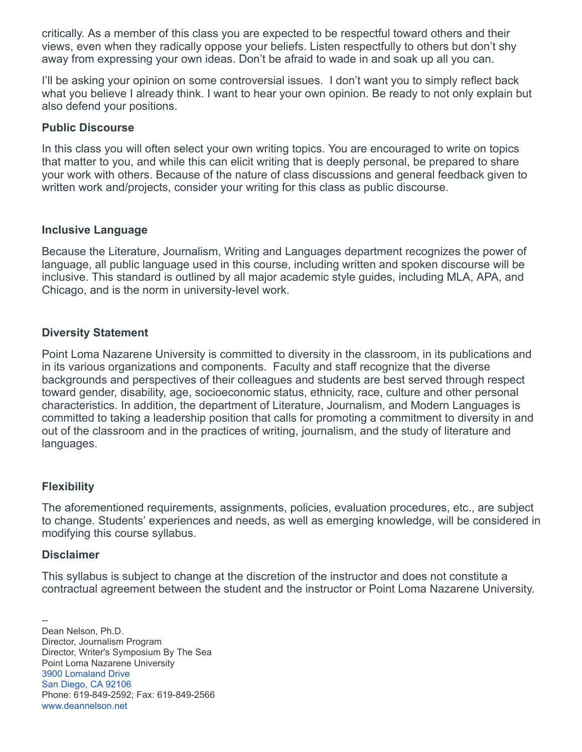critically. As a member of this class you are expected to be respectful toward others and their views, even when they radically oppose your beliefs. Listen respectfully to others but don't shy away from expressing your own ideas. Don't be afraid to wade in and soak up all you can.

I'll be asking your opinion on some controversial issues. I don't want you to simply reflect back what you believe I already think. I want to hear your own opinion. Be ready to not only explain but also defend your positions.

## **Public Discourse**

In this class you will often select your own writing topics. You are encouraged to write on topics that matter to you, and while this can elicit writing that is deeply personal, be prepared to share your work with others. Because of the nature of class discussions and general feedback given to written work and/projects, consider your writing for this class as public discourse.

#### **Inclusive Language**

Because the Literature, Journalism, Writing and Languages department recognizes the power of language, all public language used in this course, including written and spoken discourse will be inclusive. This standard is outlined by all major academic style guides, including MLA, APA, and Chicago, and is the norm in university-level work.

## **Diversity Statement**

Point Loma Nazarene University is committed to diversity in the classroom, in its publications and in its various organizations and components. Faculty and staff recognize that the diverse backgrounds and perspectives of their colleagues and students are best served through respect toward gender, disability, age, socioeconomic status, ethnicity, race, culture and other personal characteristics. In addition, the department of Literature, Journalism, and Modern Languages is committed to taking a leadership position that calls for promoting a commitment to diversity in and out of the classroom and in the practices of writing, journalism, and the study of literature and languages.

## **Flexibility**

The aforementioned requirements, assignments, policies, evaluation procedures, etc., are subject to change. Students' experiences and needs, as well as emerging knowledge, will be considered in modifying this course syllabus.

#### **Disclaimer**

This syllabus is subject to change at the discretion of the instructor and does not constitute a contractual agreement between the student and the instructor or Point Loma Nazarene University.

-- Dean Nelson, Ph.D. Director, Journalism Program Director, Writer's Symposium By The Sea Point Loma Nazarene University [3900 Lomaland Drive](https://www.google.com/maps/search/3900+Lomaland+Drive+San+Diego,+CA+92106?entry=gmail&source=g) [San Diego, CA 92106](https://www.google.com/maps/search/3900+Lomaland+Drive+San+Diego,+CA+92106?entry=gmail&source=g) Phone: 619-849-2592; Fax: 619-849-2566 [www.deannelson.net](http://www.deannelson.net/)